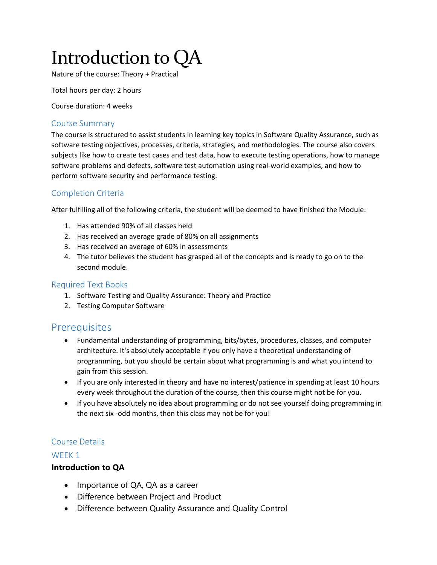# Introduction to QA

Nature of the course: Theory + Practical

Total hours per day: 2 hours

Course duration: 4 weeks

#### Course Summary

The course is structured to assist students in learning key topics in Software Quality Assurance, such as software testing objectives, processes, criteria, strategies, and methodologies. The course also covers subjects like how to create test cases and test data, how to execute testing operations, how to manage software problems and defects, software test automation using real-world examples, and how to perform software security and performance testing.

#### Completion Criteria

After fulfilling all of the following criteria, the student will be deemed to have finished the Module:

- 1. Has attended 90% of all classes held
- 2. Has received an average grade of 80% on all assignments
- 3. Has received an average of 60% in assessments
- 4. The tutor believes the student has grasped all of the concepts and is ready to go on to the second module.

#### Required Text Books

- 1. Software Testing and Quality Assurance: Theory and Practice
- 2. Testing Computer Software

# **Prerequisites**

- Fundamental understanding of programming, bits/bytes, procedures, classes, and computer architecture. It's absolutely acceptable if you only have a theoretical understanding of programming, but you should be certain about what programming is and what you intend to gain from this session.
- If you are only interested in theory and have no interest/patience in spending at least 10 hours every week throughout the duration of the course, then this course might not be for you.
- If you have absolutely no idea about programming or do not see yourself doing programming in the next six -odd months, then this class may not be for you!

#### Course Details

#### WEEK<sub>1</sub>

#### **Introduction to QA**

- Importance of QA, QA as a career
- Difference between Project and Product
- Difference between Quality Assurance and Quality Control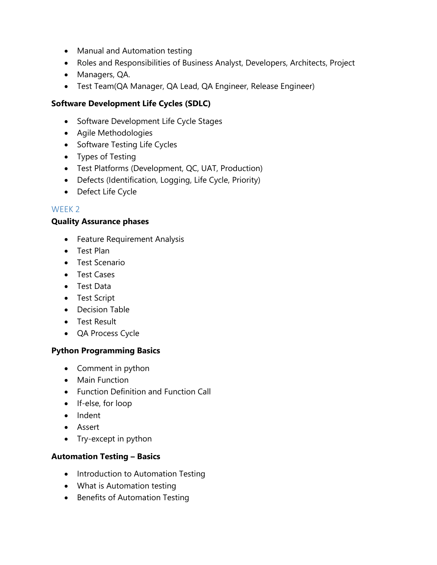- Manual and Automation testing
- Roles and Responsibilities of Business Analyst, Developers, Architects, Project
- Managers, QA.
- Test Team(QA Manager, QA Lead, QA Engineer, Release Engineer)

# **Software Development Life Cycles (SDLC)**

- Software Development Life Cycle Stages
- Agile Methodologies
- Software Testing Life Cycles
- Types of Testing
- Test Platforms (Development, QC, UAT, Production)
- Defects (Identification, Logging, Life Cycle, Priority)
- Defect Life Cycle

#### WFFK<sub>2</sub>

#### **Quality Assurance phases**

- **•** Feature Requirement Analysis
- Test Plan
- **•** Test Scenario
- Test Cases
- Test Data
- Test Script
- Decision Table
- **•** Test Result
- QA Process Cycle

#### **Python Programming Basics**

- Comment in python
- Main Function
- Function Definition and Function Call
- If-else, for loop
- Indent
- Assert
- Try-except in python

#### **Automation Testing – Basics**

- Introduction to Automation Testing
- What is Automation testing
- Benefits of Automation Testing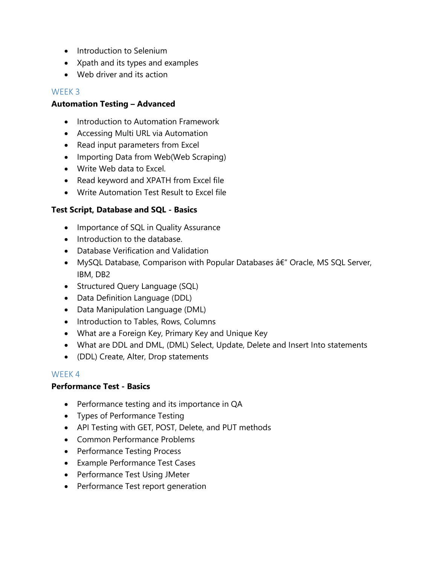- Introduction to Selenium
- Xpath and its types and examples
- Web driver and its action

# WEEK 3

# **Automation Testing – Advanced**

- Introduction to Automation Framework
- Accessing Multi URL via Automation
- Read input parameters from Excel
- Importing Data from Web(Web Scraping)
- Write Web data to Excel.
- Read keyword and XPATH from Excel file
- Write Automation Test Result to Excel file

# **Test Script, Database and SQL - Basics**

- Importance of SQL in Quality Assurance
- Introduction to the database.
- Database Verification and Validation
- MySQL Database, Comparison with Popular Databases  $\hat{a}\hat{\epsilon}$ " Oracle, MS SQL Server, IBM, DB2
- Structured Query Language (SQL)
- Data Definition Language (DDL)
- Data Manipulation Language (DML)
- Introduction to Tables, Rows, Columns
- What are a Foreign Key, Primary Key and Unique Key
- What are DDL and DML, (DML) Select, Update, Delete and Insert Into statements
- (DDL) Create, Alter, Drop statements

#### WEEK 4

#### **Performance Test - Basics**

- Performance testing and its importance in QA
- Types of Performance Testing
- API Testing with GET, POST, Delete, and PUT methods
- Common Performance Problems
- Performance Testing Process
- Example Performance Test Cases
- Performance Test Using JMeter
- Performance Test report generation